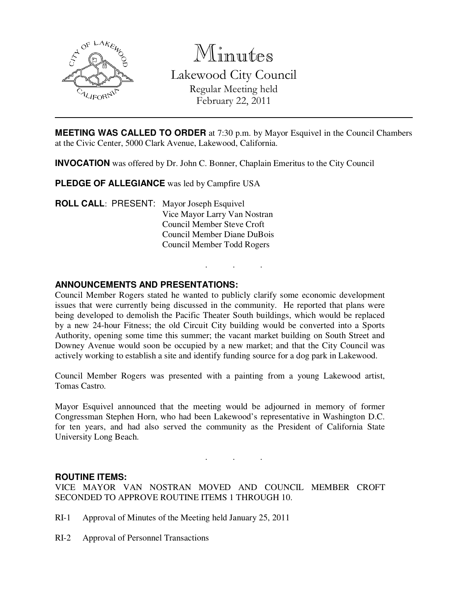

Minutes

Lakewood City Council Regular Meeting held February 22, 2011

**MEETING WAS CALLED TO ORDER** at 7:30 p.m. by Mayor Esquivel in the Council Chambers at the Civic Center, 5000 Clark Avenue, Lakewood, California.

**INVOCATION** was offered by Dr. John C. Bonner, Chaplain Emeritus to the City Council

**PLEDGE OF ALLEGIANCE** was led by Campfire USA

**ROLL CALL**: PRESENT: Mayor Joseph Esquivel Vice Mayor Larry Van Nostran Council Member Steve Croft Council Member Diane DuBois Council Member Todd Rogers

### **ANNOUNCEMENTS AND PRESENTATIONS:**

Council Member Rogers stated he wanted to publicly clarify some economic development issues that were currently being discussed in the community. He reported that plans were being developed to demolish the Pacific Theater South buildings, which would be replaced by a new 24-hour Fitness; the old Circuit City building would be converted into a Sports Authority, opening some time this summer; the vacant market building on South Street and Downey Avenue would soon be occupied by a new market; and that the City Council was actively working to establish a site and identify funding source for a dog park in Lakewood.

. . .

Council Member Rogers was presented with a painting from a young Lakewood artist, Tomas Castro.

Mayor Esquivel announced that the meeting would be adjourned in memory of former Congressman Stephen Horn, who had been Lakewood's representative in Washington D.C. for ten years, and had also served the community as the President of California State University Long Beach.

. . .

#### **ROUTINE ITEMS:**

VICE MAYOR VAN NOSTRAN MOVED AND COUNCIL MEMBER CROFT SECONDED TO APPROVE ROUTINE ITEMS 1 THROUGH 10.

- RI-1 Approval of Minutes of the Meeting held January 25, 2011
- RI-2 Approval of Personnel Transactions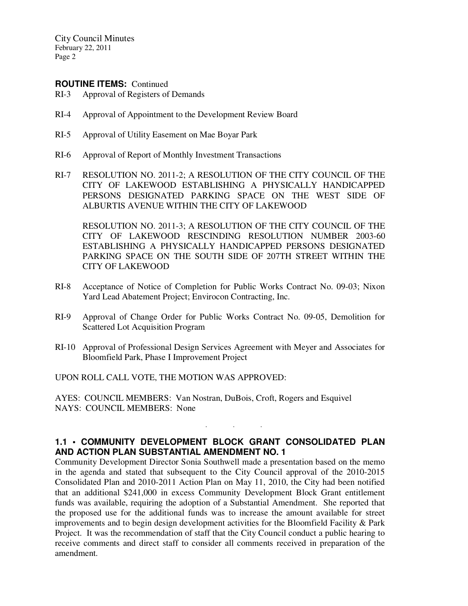### **ROUTINE ITEMS:** Continued

- RI-3 Approval of Registers of Demands
- RI-4 Approval of Appointment to the Development Review Board
- RI-5 Approval of Utility Easement on Mae Boyar Park
- RI-6 Approval of Report of Monthly Investment Transactions
- RI-7 RESOLUTION NO. 2011-2; A RESOLUTION OF THE CITY COUNCIL OF THE CITY OF LAKEWOOD ESTABLISHING A PHYSICALLY HANDICAPPED PERSONS DESIGNATED PARKING SPACE ON THE WEST SIDE OF ALBURTIS AVENUE WITHIN THE CITY OF LAKEWOOD

 RESOLUTION NO. 2011-3; A RESOLUTION OF THE CITY COUNCIL OF THE CITY OF LAKEWOOD RESCINDING RESOLUTION NUMBER 2003-60 ESTABLISHING A PHYSICALLY HANDICAPPED PERSONS DESIGNATED PARKING SPACE ON THE SOUTH SIDE OF 207TH STREET WITHIN THE CITY OF LAKEWOOD

- RI-8 Acceptance of Notice of Completion for Public Works Contract No. 09-03; Nixon Yard Lead Abatement Project; Envirocon Contracting, Inc.
- RI-9 Approval of Change Order for Public Works Contract No. 09-05, Demolition for Scattered Lot Acquisition Program
- RI-10 Approval of Professional Design Services Agreement with Meyer and Associates for Bloomfield Park, Phase I Improvement Project

UPON ROLL CALL VOTE, THE MOTION WAS APPROVED:

AYES: COUNCIL MEMBERS: Van Nostran, DuBois, Croft, Rogers and Esquivel NAYS: COUNCIL MEMBERS: None

## **1.1 • COMMUNITY DEVELOPMENT BLOCK GRANT CONSOLIDATED PLAN AND ACTION PLAN SUBSTANTIAL AMENDMENT NO. 1**

. . .

Community Development Director Sonia Southwell made a presentation based on the memo in the agenda and stated that subsequent to the City Council approval of the 2010-2015 Consolidated Plan and 2010-2011 Action Plan on May 11, 2010, the City had been notified that an additional \$241,000 in excess Community Development Block Grant entitlement funds was available, requiring the adoption of a Substantial Amendment. She reported that the proposed use for the additional funds was to increase the amount available for street improvements and to begin design development activities for the Bloomfield Facility & Park Project. It was the recommendation of staff that the City Council conduct a public hearing to receive comments and direct staff to consider all comments received in preparation of the amendment.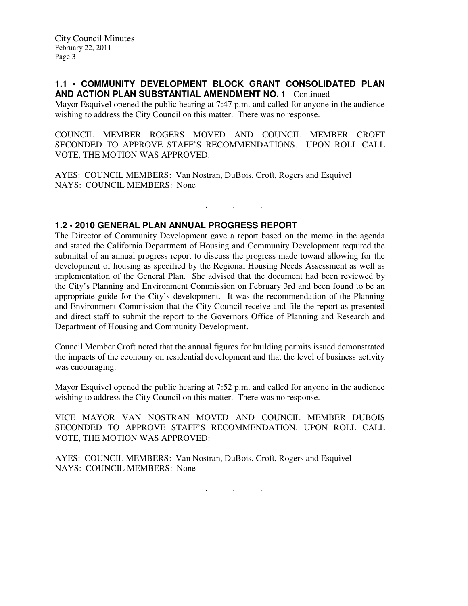### **1.1 • COMMUNITY DEVELOPMENT BLOCK GRANT CONSOLIDATED PLAN AND ACTION PLAN SUBSTANTIAL AMENDMENT NO. 1** - Continued

Mayor Esquivel opened the public hearing at 7:47 p.m. and called for anyone in the audience wishing to address the City Council on this matter. There was no response.

COUNCIL MEMBER ROGERS MOVED AND COUNCIL MEMBER CROFT SECONDED TO APPROVE STAFF'S RECOMMENDATIONS. UPON ROLL CALL VOTE, THE MOTION WAS APPROVED:

. . .

AYES: COUNCIL MEMBERS: Van Nostran, DuBois, Croft, Rogers and Esquivel NAYS: COUNCIL MEMBERS: None

# **1.2 • 2010 GENERAL PLAN ANNUAL PROGRESS REPORT**

The Director of Community Development gave a report based on the memo in the agenda and stated the California Department of Housing and Community Development required the submittal of an annual progress report to discuss the progress made toward allowing for the development of housing as specified by the Regional Housing Needs Assessment as well as implementation of the General Plan. She advised that the document had been reviewed by the City's Planning and Environment Commission on February 3rd and been found to be an appropriate guide for the City's development. It was the recommendation of the Planning and Environment Commission that the City Council receive and file the report as presented and direct staff to submit the report to the Governors Office of Planning and Research and Department of Housing and Community Development.

Council Member Croft noted that the annual figures for building permits issued demonstrated the impacts of the economy on residential development and that the level of business activity was encouraging.

Mayor Esquivel opened the public hearing at 7:52 p.m. and called for anyone in the audience wishing to address the City Council on this matter. There was no response.

VICE MAYOR VAN NOSTRAN MOVED AND COUNCIL MEMBER DUBOIS SECONDED TO APPROVE STAFF'S RECOMMENDATION. UPON ROLL CALL VOTE, THE MOTION WAS APPROVED:

AYES: COUNCIL MEMBERS: Van Nostran, DuBois, Croft, Rogers and Esquivel NAYS: COUNCIL MEMBERS: None

. . .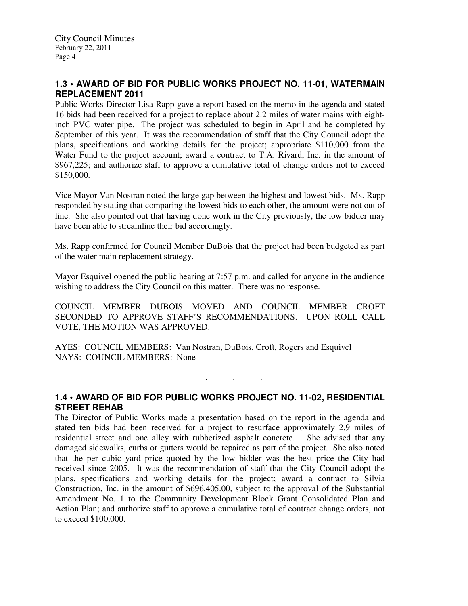# **1.3 • AWARD OF BID FOR PUBLIC WORKS PROJECT NO. 11-01, WATERMAIN REPLACEMENT 2011**

Public Works Director Lisa Rapp gave a report based on the memo in the agenda and stated 16 bids had been received for a project to replace about 2.2 miles of water mains with eightinch PVC water pipe. The project was scheduled to begin in April and be completed by September of this year. It was the recommendation of staff that the City Council adopt the plans, specifications and working details for the project; appropriate \$110,000 from the Water Fund to the project account; award a contract to T.A. Rivard, Inc. in the amount of \$967,225; and authorize staff to approve a cumulative total of change orders not to exceed \$150,000.

Vice Mayor Van Nostran noted the large gap between the highest and lowest bids. Ms. Rapp responded by stating that comparing the lowest bids to each other, the amount were not out of line. She also pointed out that having done work in the City previously, the low bidder may have been able to streamline their bid accordingly.

Ms. Rapp confirmed for Council Member DuBois that the project had been budgeted as part of the water main replacement strategy.

Mayor Esquivel opened the public hearing at 7:57 p.m. and called for anyone in the audience wishing to address the City Council on this matter. There was no response.

COUNCIL MEMBER DUBOIS MOVED AND COUNCIL MEMBER CROFT SECONDED TO APPROVE STAFF'S RECOMMENDATIONS. UPON ROLL CALL VOTE, THE MOTION WAS APPROVED:

AYES: COUNCIL MEMBERS: Van Nostran, DuBois, Croft, Rogers and Esquivel NAYS: COUNCIL MEMBERS: None

**1.4 • AWARD OF BID FOR PUBLIC WORKS PROJECT NO. 11-02, RESIDENTIAL STREET REHAB**

. . .

The Director of Public Works made a presentation based on the report in the agenda and stated ten bids had been received for a project to resurface approximately 2.9 miles of residential street and one alley with rubberized asphalt concrete. She advised that any damaged sidewalks, curbs or gutters would be repaired as part of the project. She also noted that the per cubic yard price quoted by the low bidder was the best price the City had received since 2005. It was the recommendation of staff that the City Council adopt the plans, specifications and working details for the project; award a contract to Silvia Construction, Inc. in the amount of \$696,405.00, subject to the approval of the Substantial Amendment No. 1 to the Community Development Block Grant Consolidated Plan and Action Plan; and authorize staff to approve a cumulative total of contract change orders, not to exceed \$100,000.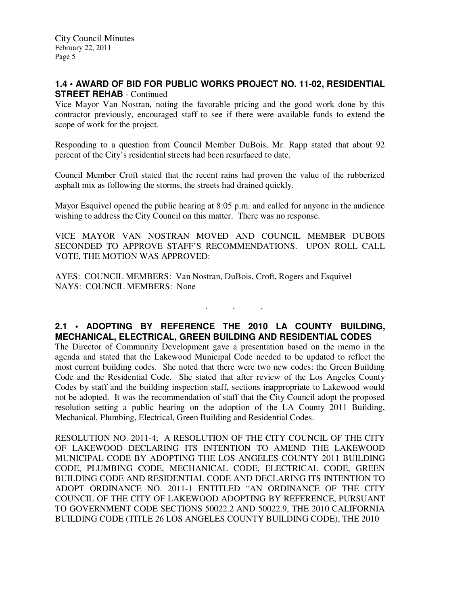## **1.4 • AWARD OF BID FOR PUBLIC WORKS PROJECT NO. 11-02, RESIDENTIAL STREET REHAB - Continued**

Vice Mayor Van Nostran, noting the favorable pricing and the good work done by this contractor previously, encouraged staff to see if there were available funds to extend the scope of work for the project.

Responding to a question from Council Member DuBois, Mr. Rapp stated that about 92 percent of the City's residential streets had been resurfaced to date.

Council Member Croft stated that the recent rains had proven the value of the rubberized asphalt mix as following the storms, the streets had drained quickly.

Mayor Esquivel opened the public hearing at 8:05 p.m. and called for anyone in the audience wishing to address the City Council on this matter. There was no response.

VICE MAYOR VAN NOSTRAN MOVED AND COUNCIL MEMBER DUBOIS SECONDED TO APPROVE STAFF'S RECOMMENDATIONS. UPON ROLL CALL VOTE, THE MOTION WAS APPROVED:

AYES: COUNCIL MEMBERS: Van Nostran, DuBois, Croft, Rogers and Esquivel NAYS: COUNCIL MEMBERS: None

# **2.1 • ADOPTING BY REFERENCE THE 2010 LA COUNTY BUILDING, MECHANICAL, ELECTRICAL, GREEN BUILDING AND RESIDENTIAL CODES**

. . .

The Director of Community Development gave a presentation based on the memo in the agenda and stated that the Lakewood Municipal Code needed to be updated to reflect the most current building codes. She noted that there were two new codes: the Green Building Code and the Residential Code. She stated that after review of the Los Angeles County Codes by staff and the building inspection staff, sections inappropriate to Lakewood would not be adopted. It was the recommendation of staff that the City Council adopt the proposed resolution setting a public hearing on the adoption of the LA County 2011 Building, Mechanical, Plumbing, Electrical, Green Building and Residential Codes.

RESOLUTION NO. 2011-4; A RESOLUTION OF THE CITY COUNCIL OF THE CITY OF LAKEWOOD DECLARING ITS INTENTION TO AMEND THE LAKEWOOD MUNICIPAL CODE BY ADOPTING THE LOS ANGELES COUNTY 2011 BUILDING CODE, PLUMBING CODE, MECHANICAL CODE, ELECTRICAL CODE, GREEN BUILDING CODE AND RESIDENTIAL CODE AND DECLARING ITS INTENTION TO ADOPT ORDINANCE NO. 2011-1 ENTITLED "AN ORDINANCE OF THE CITY COUNCIL OF THE CITY OF LAKEWOOD ADOPTING BY REFERENCE, PURSUANT TO GOVERNMENT CODE SECTIONS 50022.2 AND 50022.9, THE 2010 CALIFORNIA BUILDING CODE (TITLE 26 LOS ANGELES COUNTY BUILDING CODE), THE 2010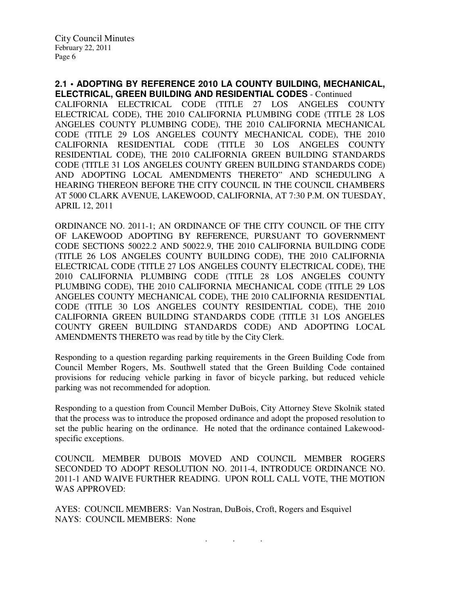**2.1 • ADOPTING BY REFERENCE 2010 LA COUNTY BUILDING, MECHANICAL, ELECTRICAL, GREEN BUILDING AND RESIDENTIAL CODES** - Continued

CALIFORNIA ELECTRICAL CODE (TITLE 27 LOS ANGELES COUNTY ELECTRICAL CODE), THE 2010 CALIFORNIA PLUMBING CODE (TITLE 28 LOS ANGELES COUNTY PLUMBING CODE), THE 2010 CALIFORNIA MECHANICAL CODE (TITLE 29 LOS ANGELES COUNTY MECHANICAL CODE), THE 2010 CALIFORNIA RESIDENTIAL CODE (TITLE 30 LOS ANGELES COUNTY RESIDENTIAL CODE), THE 2010 CALIFORNIA GREEN BUILDING STANDARDS CODE (TITLE 31 LOS ANGELES COUNTY GREEN BUILDING STANDARDS CODE) AND ADOPTING LOCAL AMENDMENTS THERETO" AND SCHEDULING A HEARING THEREON BEFORE THE CITY COUNCIL IN THE COUNCIL CHAMBERS AT 5000 CLARK AVENUE, LAKEWOOD, CALIFORNIA, AT 7:30 P.M. ON TUESDAY, APRIL 12, 2011

ORDINANCE NO. 2011-1; AN ORDINANCE OF THE CITY COUNCIL OF THE CITY OF LAKEWOOD ADOPTING BY REFERENCE, PURSUANT TO GOVERNMENT CODE SECTIONS 50022.2 AND 50022.9, THE 2010 CALIFORNIA BUILDING CODE (TITLE 26 LOS ANGELES COUNTY BUILDING CODE), THE 2010 CALIFORNIA ELECTRICAL CODE (TITLE 27 LOS ANGELES COUNTY ELECTRICAL CODE), THE 2010 CALIFORNIA PLUMBING CODE (TITLE 28 LOS ANGELES COUNTY PLUMBING CODE), THE 2010 CALIFORNIA MECHANICAL CODE (TITLE 29 LOS ANGELES COUNTY MECHANICAL CODE), THE 2010 CALIFORNIA RESIDENTIAL CODE (TITLE 30 LOS ANGELES COUNTY RESIDENTIAL CODE), THE 2010 CALIFORNIA GREEN BUILDING STANDARDS CODE (TITLE 31 LOS ANGELES COUNTY GREEN BUILDING STANDARDS CODE) AND ADOPTING LOCAL AMENDMENTS THERETO was read by title by the City Clerk.

Responding to a question regarding parking requirements in the Green Building Code from Council Member Rogers, Ms. Southwell stated that the Green Building Code contained provisions for reducing vehicle parking in favor of bicycle parking, but reduced vehicle parking was not recommended for adoption.

Responding to a question from Council Member DuBois, City Attorney Steve Skolnik stated that the process was to introduce the proposed ordinance and adopt the proposed resolution to set the public hearing on the ordinance. He noted that the ordinance contained Lakewoodspecific exceptions.

COUNCIL MEMBER DUBOIS MOVED AND COUNCIL MEMBER ROGERS SECONDED TO ADOPT RESOLUTION NO. 2011-4, INTRODUCE ORDINANCE NO. 2011-1 AND WAIVE FURTHER READING. UPON ROLL CALL VOTE, THE MOTION WAS APPROVED:

AYES: COUNCIL MEMBERS: Van Nostran, DuBois, Croft, Rogers and Esquivel NAYS: COUNCIL MEMBERS: None

. . .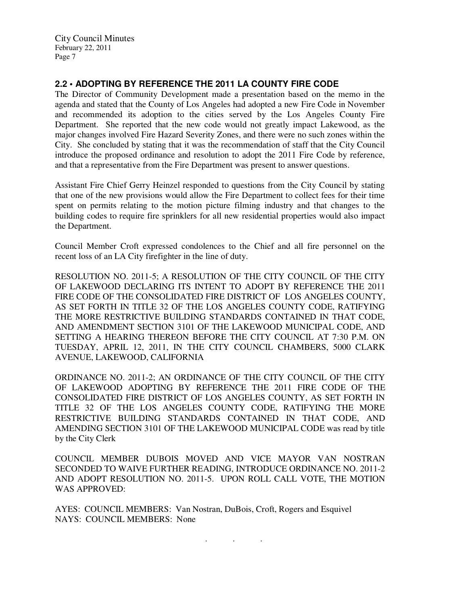# **2.2 • ADOPTING BY REFERENCE THE 2011 LA COUNTY FIRE CODE**

The Director of Community Development made a presentation based on the memo in the agenda and stated that the County of Los Angeles had adopted a new Fire Code in November and recommended its adoption to the cities served by the Los Angeles County Fire Department. She reported that the new code would not greatly impact Lakewood, as the major changes involved Fire Hazard Severity Zones, and there were no such zones within the City. She concluded by stating that it was the recommendation of staff that the City Council introduce the proposed ordinance and resolution to adopt the 2011 Fire Code by reference, and that a representative from the Fire Department was present to answer questions.

Assistant Fire Chief Gerry Heinzel responded to questions from the City Council by stating that one of the new provisions would allow the Fire Department to collect fees for their time spent on permits relating to the motion picture filming industry and that changes to the building codes to require fire sprinklers for all new residential properties would also impact the Department.

Council Member Croft expressed condolences to the Chief and all fire personnel on the recent loss of an LA City firefighter in the line of duty.

RESOLUTION NO. 2011-5; A RESOLUTION OF THE CITY COUNCIL OF THE CITY OF LAKEWOOD DECLARING ITS INTENT TO ADOPT BY REFERENCE THE 2011 FIRE CODE OF THE CONSOLIDATED FIRE DISTRICT OF LOS ANGELES COUNTY, AS SET FORTH IN TITLE 32 OF THE LOS ANGELES COUNTY CODE, RATIFYING THE MORE RESTRICTIVE BUILDING STANDARDS CONTAINED IN THAT CODE, AND AMENDMENT SECTION 3101 OF THE LAKEWOOD MUNICIPAL CODE, AND SETTING A HEARING THEREON BEFORE THE CITY COUNCIL AT 7:30 P.M. ON TUESDAY, APRIL 12, 2011, IN THE CITY COUNCIL CHAMBERS, 5000 CLARK AVENUE, LAKEWOOD, CALIFORNIA

ORDINANCE NO. 2011-2; AN ORDINANCE OF THE CITY COUNCIL OF THE CITY OF LAKEWOOD ADOPTING BY REFERENCE THE 2011 FIRE CODE OF THE CONSOLIDATED FIRE DISTRICT OF LOS ANGELES COUNTY, AS SET FORTH IN TITLE 32 OF THE LOS ANGELES COUNTY CODE, RATIFYING THE MORE RESTRICTIVE BUILDING STANDARDS CONTAINED IN THAT CODE, AND AMENDING SECTION 3101 OF THE LAKEWOOD MUNICIPAL CODE was read by title by the City Clerk

COUNCIL MEMBER DUBOIS MOVED AND VICE MAYOR VAN NOSTRAN SECONDED TO WAIVE FURTHER READING, INTRODUCE ORDINANCE NO. 2011-2 AND ADOPT RESOLUTION NO. 2011-5. UPON ROLL CALL VOTE, THE MOTION WAS APPROVED:

. . .

AYES: COUNCIL MEMBERS: Van Nostran, DuBois, Croft, Rogers and Esquivel NAYS: COUNCIL MEMBERS: None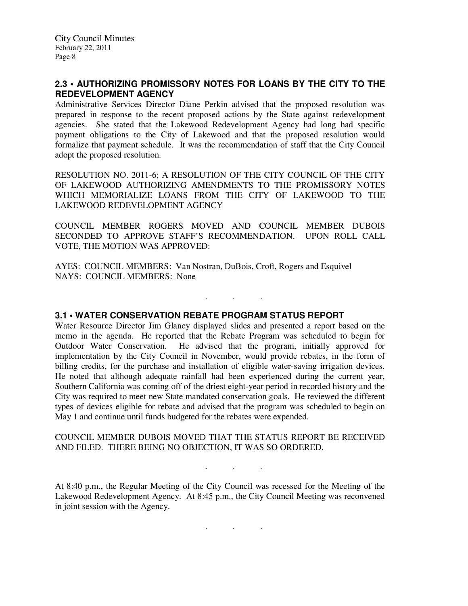# **2.3 • AUTHORIZING PROMISSORY NOTES FOR LOANS BY THE CITY TO THE REDEVELOPMENT AGENCY**

Administrative Services Director Diane Perkin advised that the proposed resolution was prepared in response to the recent proposed actions by the State against redevelopment agencies. She stated that the Lakewood Redevelopment Agency had long had specific payment obligations to the City of Lakewood and that the proposed resolution would formalize that payment schedule. It was the recommendation of staff that the City Council adopt the proposed resolution.

RESOLUTION NO. 2011-6; A RESOLUTION OF THE CITY COUNCIL OF THE CITY OF LAKEWOOD AUTHORIZING AMENDMENTS TO THE PROMISSORY NOTES WHICH MEMORIALIZE LOANS FROM THE CITY OF LAKEWOOD TO THE LAKEWOOD REDEVELOPMENT AGENCY

COUNCIL MEMBER ROGERS MOVED AND COUNCIL MEMBER DUBOIS SECONDED TO APPROVE STAFF'S RECOMMENDATION. UPON ROLL CALL VOTE, THE MOTION WAS APPROVED:

. . .

AYES: COUNCIL MEMBERS: Van Nostran, DuBois, Croft, Rogers and Esquivel NAYS: COUNCIL MEMBERS: None

### **3.1 • WATER CONSERVATION REBATE PROGRAM STATUS REPORT**

Water Resource Director Jim Glancy displayed slides and presented a report based on the memo in the agenda. He reported that the Rebate Program was scheduled to begin for Outdoor Water Conservation. He advised that the program, initially approved for implementation by the City Council in November, would provide rebates, in the form of billing credits, for the purchase and installation of eligible water-saving irrigation devices. He noted that although adequate rainfall had been experienced during the current year, Southern California was coming off of the driest eight-year period in recorded history and the City was required to meet new State mandated conservation goals. He reviewed the different types of devices eligible for rebate and advised that the program was scheduled to begin on May 1 and continue until funds budgeted for the rebates were expended.

#### COUNCIL MEMBER DUBOIS MOVED THAT THE STATUS REPORT BE RECEIVED AND FILED. THERE BEING NO OBJECTION, IT WAS SO ORDERED.

At 8:40 p.m., the Regular Meeting of the City Council was recessed for the Meeting of the Lakewood Redevelopment Agency. At 8:45 p.m., the City Council Meeting was reconvened in joint session with the Agency.

. . .

. . .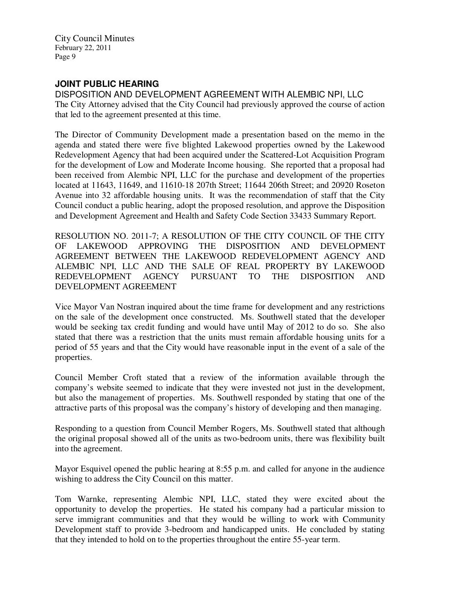# **JOINT PUBLIC HEARING**

DISPOSITION AND DEVELOPMENT AGREEMENT WITH ALEMBIC NPI, LLC The City Attorney advised that the City Council had previously approved the course of action that led to the agreement presented at this time.

The Director of Community Development made a presentation based on the memo in the agenda and stated there were five blighted Lakewood properties owned by the Lakewood Redevelopment Agency that had been acquired under the Scattered-Lot Acquisition Program for the development of Low and Moderate Income housing. She reported that a proposal had been received from Alembic NPI, LLC for the purchase and development of the properties located at 11643, 11649, and 11610-18 207th Street; 11644 206th Street; and 20920 Roseton Avenue into 32 affordable housing units. It was the recommendation of staff that the City Council conduct a public hearing, adopt the proposed resolution, and approve the Disposition and Development Agreement and Health and Safety Code Section 33433 Summary Report.

RESOLUTION NO. 2011-7; A RESOLUTION OF THE CITY COUNCIL OF THE CITY OF LAKEWOOD APPROVING THE DISPOSITION AND DEVELOPMENT AGREEMENT BETWEEN THE LAKEWOOD REDEVELOPMENT AGENCY AND ALEMBIC NPI, LLC AND THE SALE OF REAL PROPERTY BY LAKEWOOD REDEVELOPMENT AGENCY PURSUANT TO THE DISPOSITION AND DEVELOPMENT AGREEMENT

Vice Mayor Van Nostran inquired about the time frame for development and any restrictions on the sale of the development once constructed. Ms. Southwell stated that the developer would be seeking tax credit funding and would have until May of 2012 to do so. She also stated that there was a restriction that the units must remain affordable housing units for a period of 55 years and that the City would have reasonable input in the event of a sale of the properties.

Council Member Croft stated that a review of the information available through the company's website seemed to indicate that they were invested not just in the development, but also the management of properties. Ms. Southwell responded by stating that one of the attractive parts of this proposal was the company's history of developing and then managing.

Responding to a question from Council Member Rogers, Ms. Southwell stated that although the original proposal showed all of the units as two-bedroom units, there was flexibility built into the agreement.

Mayor Esquivel opened the public hearing at 8:55 p.m. and called for anyone in the audience wishing to address the City Council on this matter.

Tom Warnke, representing Alembic NPI, LLC, stated they were excited about the opportunity to develop the properties. He stated his company had a particular mission to serve immigrant communities and that they would be willing to work with Community Development staff to provide 3-bedroom and handicapped units. He concluded by stating that they intended to hold on to the properties throughout the entire 55-year term.